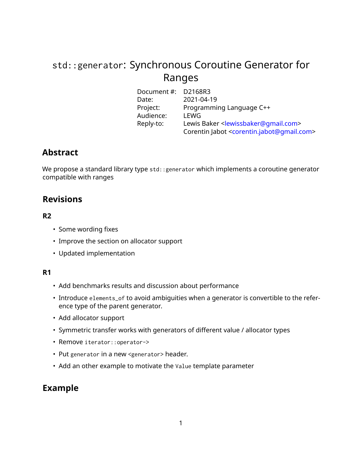# std::generator: Synchronous Coroutine Generator for Ranges

| Document #: D2168R3 |                                                                      |
|---------------------|----------------------------------------------------------------------|
| Date:               | 2021-04-19                                                           |
| Project:            | Programming Language C++                                             |
| Audience:           | LEWG                                                                 |
| Reply-to:           | Lewis Baker <lewissbaker@qmail.com></lewissbaker@qmail.com>          |
|                     | Corentin Jabot <corentin.jabot@qmail.com></corentin.jabot@qmail.com> |

## **Abstract**

We propose a standard library type std:: generator which implements a coroutine generator compatible with ranges

# **Revisions**

## **R2**

- Some wording fixes
- Improve the section on allocator support
- Updated implementation

## **R1**

- Add benchmarks results and discussion about performance
- Introduce elements\_of to avoid ambiguities when a generator is convertible to the reference type of the parent generator.
- Add allocator support
- Symmetric transfer works with generators of different value / allocator types
- Remove iterator::operator->
- Put generator in a new <generator> header.
- Add an other example to motivate the Value template parameter

# **Example**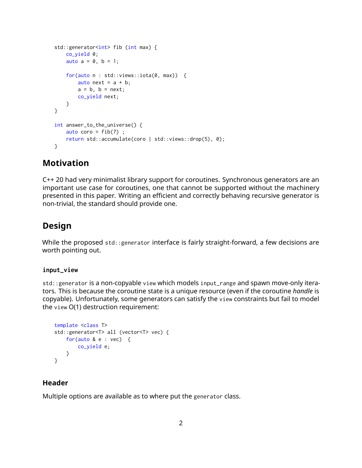```
std::generator<int> fib (int max) {
   co_yield 0;
   auto a = 0, b = 1;
   for(auto n : std::views::iota(0, max)) {
       auto next = a + b;
       a = b, b = next;
       co_yield next;
   }
}
int answer_to_the_universe() {
   auto coro = fib(7);
   return std::accumulate(coro | std::views::drop(5), 0);
}
```
## **Motivation**

C++ 20 had very minimalist library support for coroutines. Synchronous generators are an important use case for coroutines, one that cannot be supported without the machinery presented in this paper. Writing an efficient and correctly behaving recursive generator is non-trivial, the standard should provide one.

## **Design**

While the proposed std::generator interface is fairly straight-forward, a few decisions are worth pointing out.

### **input\_view**

std::generator is a non-copyable view which models input\_range and spawn move-only iterators. This is because the coroutine state is a unique resource (even if the coroutine *handle* is copyable). Unfortunately, some generators can satisfy the view constraints but fail to model the view O(1) destruction requirement:

```
template <class T>
std::generator<T> all (vector<T> vec) {
   for(auto & e : vec) {
       co_yield e;
   }
}
```
### **Header**

Multiple options are available as to where put the generator class.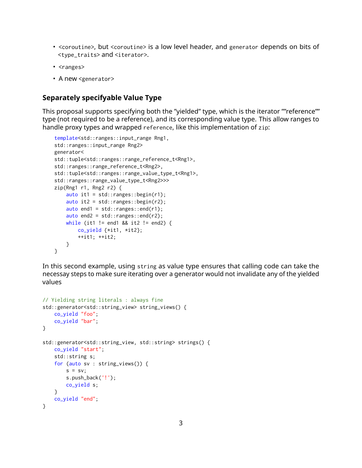- <coroutine>, but <coroutine> is a low level header, and generator depends on bits of <type\_traits> and <iterator>.
- <ranges>
- A new <generator>

## **Separately specifyable Value Type**

This proposal supports specifying both the "yielded" type, which is the iterator ""reference"" type (not required to be a reference), and its corresponding value type. This allow ranges to handle proxy types and wrapped reference, like this implementation of zip:

```
template<std::ranges::input_range Rng1,
std::ranges::input_range Rng2>
generator<
std::tuple<std::ranges::range_reference_t<Rng1>,
std::ranges::range_reference_t<Rng2>,
std::tuple<std::ranges::range_value_type_t<Rng1>,
std::ranges::range_value_type_t<Rng2>>>
zip(Rng1 r1, Rng2 r2) {
    auto it1 = std::ranges::begin(r1);auto it2 = std::ranges::begin(r2);auto end1 = std::ranges::end(r1):auto end2 = std::ranges::end(r2);while (it1 != end1 && it2 != end2) {
        co_yield {*it1, *it2};
       ++it1; ++it2;
   }
}
```
In this second example, using string as value type ensures that calling code can take the necessay steps to make sure iterating over a generator would not invalidate any of the yielded values

```
// Yielding string literals : always fine
std::generator<std::string_view> string_views() {
    co_yield "foo";
   co_yield "bar";
}
std::generator<std::string_view, std::string> strings() {
   co_yield "start";
    std::string s;
    for (auto sv : string_views()) {
        s = sv;s.push_back('!');
       co_yield s;
    }
   co_yield "end";
}
```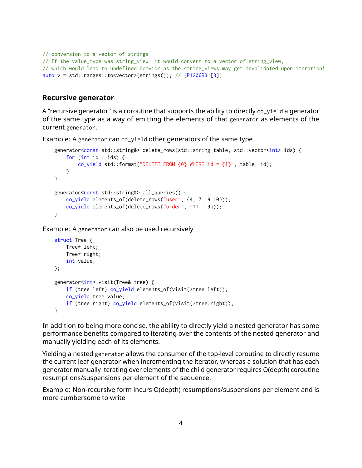```
// conversion to a vector of strings
// If the value_type was string_view, it would convert to a vector of string_view,
// which would lead to undefined beavior as the string_views may get invalidated upon iteration!
auto v = std::ranges::to<vector>(strings())(P1206R3[3])
```
## **Recursive generator**

A "recursive generator" is a coroutine that supports the ability to directly co\_yield a generator of the same type as a way of emitting the elements of that generator as elements of the current generator.

Example: A generator can co\_yield other generators of the same type

```
generator<const std::string&> delete_rows(std::string table, std::vector<int> ids) {
   for (int id : ids) {
       co_yield std::format("DELETE FROM \{0\} WHERE id = \{1\}", table, id);
   }
}
generator<const std::string&> all_queries() {
   co_yield elements_of(delete_rows("user", {4, 7, 9 10}));
   co_yield elements_of(delete_rows("order", {11, 19}));
}
```
Example: A generator can also be used recursively

```
struct Tree {
   Tree* left;
   Tree* right;
   int value;
};
generator<int> visit(Tree& tree) {
   if (tree.left) co_yield elements_of(visit(*tree.left));
   co_yield tree.value;
   if (tree.right) co_yield elements_of(visit(*tree.right));
}
```
In addition to being more concise, the ability to directly yield a nested generator has some performance benefits compared to iterating over the contents of the nested generator and manually yielding each of its elements.

Yielding a nested generator allows the consumer of the top-level coroutine to directly resume the current leaf generator when incrementing the iterator, whereas a solution that has each generator manually iterating over elements of the child generator requires O(depth) coroutine resumptions/suspensions per element of the sequence.

Example: Non-recursive form incurs O(depth) resumptions/suspensions per element and is more cumbersome to write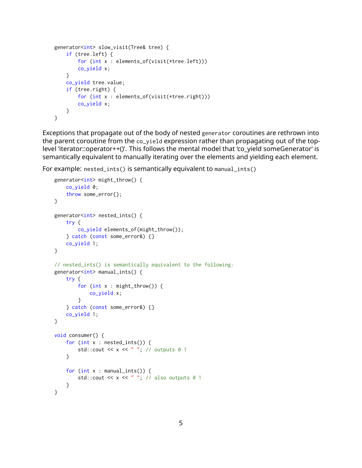```
generator<int> slow_visit(Tree& tree) {
   if (tree.left) {
        for (int x : elements_of(visit(*tree.left)))
       co_yield x;
    }
   co_yield tree.value;
   if (tree.right) {
        for (int x : elements_of(visit(*tree.right)))
       co_yield x;
   }
}
```
Exceptions that propagate out of the body of nested generator coroutines are rethrown into the parent coroutine from the co\_yield expression rather than propagating out of the toplevel 'iterator::operator++()'. This follows the mental model that 'co\_yield someGenerator' is semantically equivalent to manually iterating over the elements and yielding each element.

For example: nested\_ints() is semantically equivalent to manual\_ints()

```
generator<int> might_throw() {
   co_yield 0;
   throw some_error{};
}
generator<int> nested_ints() {
   try {
        co_yield elements_of(might_throw());
    } catch (const some_error&) {}
   co_yield 1;
}
// nested_ints() is semantically equivalent to the following:
generator<int> manual_ints() {
   try {
        for (int x : might_throw()) {
           co_yield x;
        }
    } catch (const some_error&) {}
   co_yield 1;
}
void consumer() {
    for (int x : nested_ints()) {
        std:: cout << x << " "; // outputs 0 1
    }
    for (int x : manual_ints()) {
        std::cout << x << " "; // also outputs 0 1
    }
}
```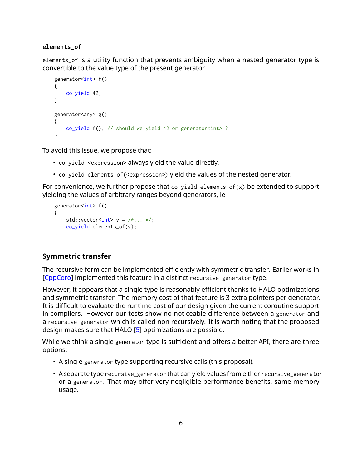### **elements\_of**

elements\_of is a utility function that prevents ambiguity when a nested generator type is convertible to the value type of the present generator

```
generator<int> f()
{
   co_yield 42;
}
generator<any> g()
{
   co_yield f(); // should we yield 42 or generator<int>?
}
```
To avoid this issue, we propose that:

- co\_yield <expression> always yield the value directly.
- co\_yield elements\_of(<expression>) yield the values of the nested generator.

For convenience, we further propose that  $co$ -yield elements<sub>-of(x)</sub> be extended to support yielding the values of arbitrary ranges beyond generators, ie

```
generator<int> f()
{
    std::vector<int> v = \frac{*}{...} * \frac{*}{:}co_yield elements_of(v);
}
```
## **Symmetric transfer**

The recursive form can be implemented efficiently with symmetric transfer. Earlier works in [\[CppCoro\]](#page-21-1) implemented this feature in a distinct recursive\_generator type.

However, it appears that a single type is reasonably efficient thanks to HALO optimizations and symmetric transfer. The memory cost of that feature is 3 extra pointers per generator. It is difficult to evaluate the runtime cost of our design given the current coroutine support in compilers. However our tests show no noticeable difference between a generator and a recursive\_generator which is called non recursively. It is worth noting that the proposed design makes sure that HALO [\[5\]](#page-21-2) optimizations are possible.

While we think a single generator type is sufficient and offers a better API, there are three options:

- A single generator type supporting recursive calls (this proposal).
- A separate type recursive\_generator that can yield values from either recursive\_generator or a generator. That may offer very negligible performance benefits, same memory usage.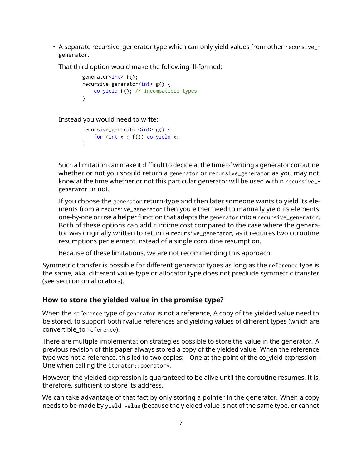• A separate recursive\_generator type which can only yield values from other recursive\_ generator.

That third option would make the following ill-formed:

```
generator<int> f();
recursive_generator<int> g() {
   co_yield f(); // incompatible types
}
```
Instead you would need to write:

```
recursive_generator<int> g() {
    for (int x : f()) co_yield x;
}
```
Such a limitation can make it difficult to decide at the time of writing a generator coroutine whether or not you should return a generator or recursive\_generator as you may not know at the time whether or not this particular generator will be used within recursive\_ generator or not.

If you choose the generator return-type and then later someone wants to yield its elements from a recursive\_generator then you either need to manually yield its elements one-by-one or use a helper function that adapts the generator into a recursive\_generator. Both of these options can add runtime cost compared to the case where the generator was originally written to return a recursive\_generator, as it requires two coroutine resumptions per element instead of a single coroutine resumption.

Because of these limitations, we are not recommending this approach.

Symmetric transfer is possible for different generator types as long as the reference type is the same, aka, different value type or allocator type does not preclude symmetric transfer (see sectiion on allocators).

## **How to store the yielded value in the promise type?**

When the reference type of generator is not a reference, A copy of the yielded value need to be stored, to support both rvalue references and yielding values of different types (which are convertible\_to reference).

There are multiple implementation strategies possible to store the value in the generator. A previous revision of this paper always stored a copy of the yielded value. When the reference type was not a reference, this led to two copies: - One at the point of the co\_yield expression - One when calling the iterator:: operator\*.

However, the yielded expression is guaranteed to be alive until the coroutine resumes, it is, therefore, sufficient to store its address.

We can take advantage of that fact by only storing a pointer in the generator. When a copy needs to be made by yield\_value (because the yielded value is not of the same type, or cannot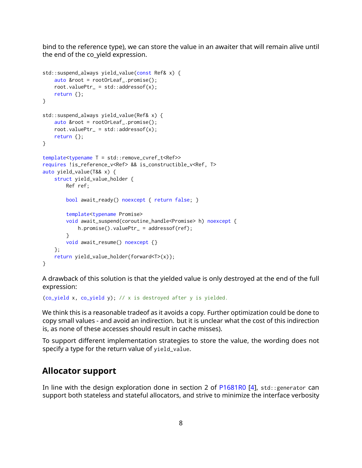bind to the reference type), we can store the value in an awaiter that will remain alive until the end of the co\_yield expression.

```
std::suspend_always yield_value(const Ref& x) {
    auto &root = rootOrLeaf_.promise();
    root.valuePtr_ = std::addressof(x);return {};
}
std::suspend_always yield_value(Ref& x) {
    auto &root = rootOrLeaf_.promise();
    root.valuePtr_ = std::addressof(x);return {};
}
template<typename T = std::remove_cvref_t<Ref>>
requires !is_reference_v<Ref> && is_constructible_v<Ref, T>
auto yield_value(T&& x) {
    struct yield_value_holder {
       Ref ref;
       bool await_ready() noexcept { return false; }
        template<typename Promise>
        void await_suspend(coroutine_handle<Promise> h) noexcept {
            h.promise().valuePtr_ = addressof(ref);
        }
       void await_resume() noexcept {}
    };
    return yield_value_holder{forward<T>(x)};
}
```
A drawback of this solution is that the yielded value is only destroyed at the end of the full expression:

(co\_yield x, co\_yield y); // x is destroyed after y is yielded.

We think this is a reasonable tradeof as it avoids a copy. Further optimization could be done to copy small values - and avoid an indirection. but it is unclear what the cost of this indirection is, as none of these accesses should result in cache misses).

To support different implementation strategies to store the value, the wording does not specify a type for the return value of yield\_value.

## **Allocator support**

In line with the design exploration done in section 2 of  $P1681R0$  [\[4\]](#page-21-3), std:: generator can support both stateless and stateful allocators, and strive to minimize the interface verbosity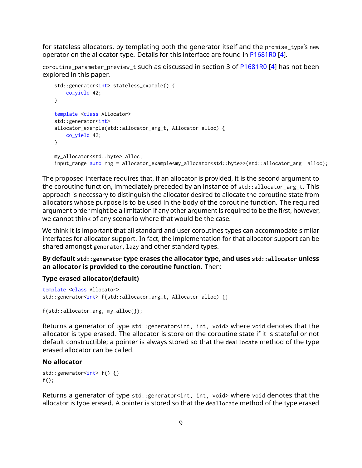for stateless allocators, by templating both the generator itself and the promise\_type's new operator on the allocator type. Details for this interface are found in [P1681R0](https://wg21.link/P1681R0) [\[4\]](#page-21-3).

coroutine\_parameter\_preview\_t such as discussed in section 3 of [P1681R0](https://wg21.link/P1681R0) [\[4\]](#page-21-3) has not been explored in this paper.

```
std::generator<int> stateless_example() {
   co_yield 42;
}
template <class Allocator>
std:: generator<int>
allocator_example(std::allocator_arg_t, Allocator alloc) {
    co_yield 42;
}
my_allocator<std::byte> alloc;
input_range auto rng = allocator_example<my_allocator<std::byte>>(std::allocator_arg, alloc);
```
The proposed interface requires that, if an allocator is provided, it is the second argument to the coroutine function, immediately preceded by an instance of std::allocator\_arg\_t. This approach is necessary to distinguish the allocator desired to allocate the coroutine state from allocators whose purpose is to be used in the body of the coroutine function. The required argument order might be a limitation if any other argument is required to be the first, however, we cannot think of any scenario where that would be the case.

We think it is important that all standard and user coroutines types can accommodate similar interfaces for allocator support. In fact, the implementation for that allocator support can be shared amongst generator, lazy and other standard types.

**By default std::generator type erases the allocator type, and uses std::allocator unless an allocator is provided to the coroutine function**. Then:

#### **Type erased allocator(default)**

```
template <class Allocator>
std::generator<int> f(std::allocator_arg_t, Allocator alloc) {}
```
f(std::allocator\_arg, my\_alloc{});

Returns a generator of type std::generator<int, int, void> where void denotes that the allocator is type erased. The allocator is store on the coroutine state if it is stateful or not default constructible; a pointer is always stored so that the deallocate method of the type erased allocator can be called.

#### **No allocator**

```
std::generator<int> f() {}
f();
```
Returns a generator of type std:: generator<int, int, void> where void denotes that the allocator is type erased. A pointer is stored so that the deallocate method of the type erased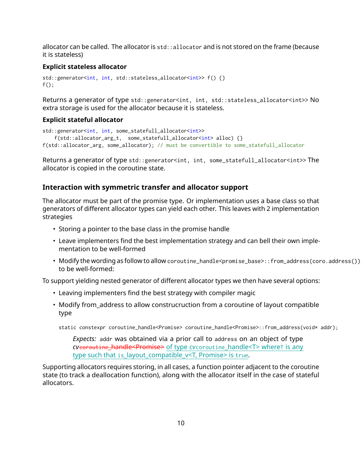allocator can be called. The allocator is std::allocator and is not stored on the frame (because it is stateless)

#### **Explicit stateless allocator**

```
std::generator<int, int, std::stateless_allocator<int>>f(){}
f();
```
Returns a generator of type std::generator<int, int, std::stateless\_allocator<int>> No extra storage is used for the allocator because it is stateless.

## **Explicit stateful allocator**

```
std::generator<int, int, some_statefull_allocator<int>>
    f(std::allocator_arg_t, some_statefull_allocator<int> alloc) {}
f(std::allocator_arg, some_allocator); // must be convertible to some_statefull_allocator
```
Returns a generator of type std::generator<int, int, some\_statefull\_allocator<int>> The allocator is copied in the coroutine state.

### **Interaction with symmetric transfer and allocator support**

The allocator must be part of the promise type. Or implementation uses a base class so that generators of different allocator types can yield each other. This leaves with 2 implementation strategies

- Storing a pointer to the base class in the promise handle
- Leave implementers find the best implementation strategy and can bell their own implementation to be well-formed
- Modify the wording as follow to allow coroutine\_handle<promise\_base>::from\_address(coro.address()) to be well-formed:

To support yielding nested generator of different allocator types we then have several options:

- Leaving implementers find the best strategy with compiler magic
- Modify from\_address to allow construcruction from a coroutine of layout compatible type

static constexpr coroutine\_handle<Promise> coroutine\_handle<Promise>::from\_address(void\* addr);

*Expects:* addr was obtained via a prior call to address on an object of type *cv*coroutine\_handle<Promise> of type *cv*coroutine\_ handle<T> whereT is any type such that is layout compatible v<T, Promise> is true.

Supporting allocators requires storing, in all cases, a function pointer adjacent to the coroutine state (to track a deallocation function), along with the allocator itself in the case of stateful allocators.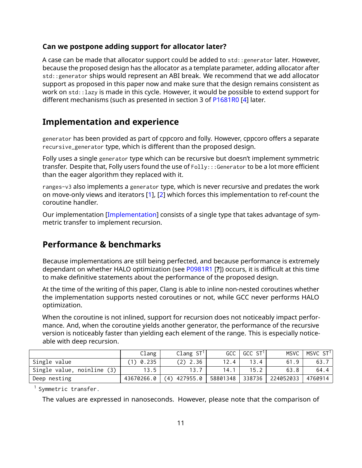## **Can we postpone adding support for allocator later?**

A case can be made that allocator support could be added to std::generator later. However, because the proposed design has the allocator as a template parameter, adding allocator after std::generator ships would represent an ABI break. We recommend that we add allocator support as proposed in this paper now and make sure that the design remains consistent as work on std::lazy is made in this cycle. However, it would be possible to extend support for different mechanisms (such as presented in section 3 of [P1681R0](https://wg21.link/P1681R0) [\[4\]](#page-21-3) later.

## **Implementation and experience**

generator has been provided as part of cppcoro and folly. However, cppcoro offers a separate recursive\_generator type, which is different than the proposed design.

Folly uses a single generator type which can be recursive but doesn't implement symmetric transfer. Despite that, Folly users found the use of Folly::: Generator to be a lot more efficient than the eager algorithm they replaced with it.

ranges-v3 also implements a generator type, which is never recursive and predates the work on move-only views and iterators [\[1\]](#page-21-4), [\[2\]](#page-21-5) which forces this implementation to ref-count the coroutine handler.

Our implementation [\[Implementation\]](#page-21-6) consists of a single type that takes advantage of symmetric transfer to implement recursion.

## **Performance & benchmarks**

Because implementations are still being perfected, and because performance is extremely dependant on whether HALO optimization (see [P0981R1](https://wg21.link/P0981R1) [**?**]) occurs, it is difficult at this time to make definitive statements about the performance of the proposed design.

At the time of the writing of this paper, Clang is able to inline non-nested coroutines whether the implementation supports nested coroutines or not, while GCC never performs HALO optimization.

When the coroutine is not inlined, support for recursion does not noticeably impact performance. And, when the coroutine yields another generator, the performance of the recursive version is noticeably faster than yielding each element of the range. This is especially noticeable with deep recursion.

|                            | Clang      | Clang ST <sup>T</sup> | <b>GCC</b> | GCC ST <sup>1</sup> | <b>MSVC</b> | MSVC ST <sup>1</sup> |
|----------------------------|------------|-----------------------|------------|---------------------|-------------|----------------------|
| Single value               | 0.235      | $(2)$ 2.36            | 12.4       |                     | 61.9        | 63.                  |
| Single value, noinline (3) | 13.5       |                       | 14.        | 15.2                | 63.8        | 64.4                 |
| Deep nesting               | 43670266.0 | (4) 427955.0          | 58801348   | 338736              | 224052033   | 4760914              |

 $<sup>1</sup>$  Symmetric transfer.</sup>

The values are expressed in nanoseconds. However, please note that the comparison of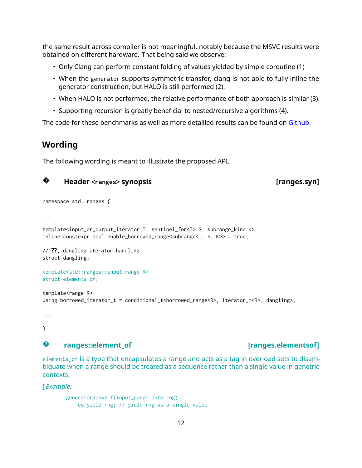the same result across compiler is not meaningful, notably because the MSVC results were obtained on different hardware. That being said we observe:

- Only Clang can perform constant folding of values yielded by simple coroutine (1)
- When the generator supports symmetric transfer, clang is not able to fully inline the generator construction, but HALO is still performed (2).
- When HALO is not performed, the relative performance of both approach is similar (3).
- Supporting recursion is greatly beneficial to nested/recursive algorithms (4).

The code for these benchmarks as well as more detailled results can be found on [Github.](https://github.com/cor3ntin/coro_benchmark)

## **Wording**

The following wording is meant to illustrate the proposed API.

#### **?Header <ranges> synopsis [ranges.syn]**

```
namespace std::ranges {
```
...

```
template<input_or_output_iterator I, sentinel_for<I> S, subrange_kind K>
inline constexpr bool enable_borrowed_range<subrange<I, S, K>> = true;
```
// **??**, dangling iterator handling struct dangling;

```
template<std::ranges::input_range R>
struct elements_of;
```

```
template<range R>
using borrowed_iterator_t = conditional_t<borrowed_range<R>, iterator_t<R>, dangling>;
```
... }

## **?**

## **ranges::element\_of [ranges.elementsof]**

elements\_of is a type that encapsulates a range and acts as a tag in overload sets to disambiguate when a range should be treated as a sequence rather than a single value in genetric contexts.

[ *Example:*

```
generator<any> f(input_range auto rng) {
   co_yield rng; // yield rng as a single value
```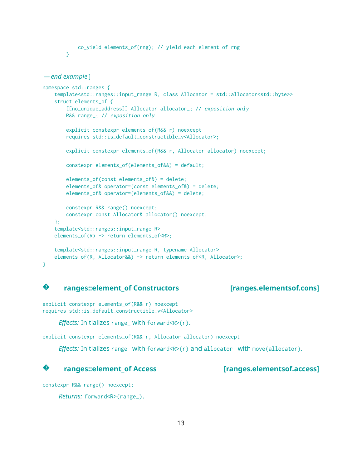```
co_yield elements_of(rng); // yield each element of rng
}
```

```
— end example ]
```

```
namespace std::ranges {
    template<std::ranges::input_range R, class Allocator = std::allocator<std::byte>>
    struct elements_of {
        [[no_unique_address]] Allocator allocator_; // exposition only
       R&& range_; // exposition only
        explicit constexpr elements_of(R&& r) noexcept
        requires std::is_default_constructible_v<Allocator>;
        explicit constexpr elements_of(R&& r, Allocator allocator) noexcept;
        constexpr elements_of(elements_of&&) = default;
       elements_of(const elements_of&) = delete;
        elements_of& operator=(const elements_of&) = delete;
        elements_of& operator=(elements_of&&) = delete;
       constexpr R&& range() noexcept;
        constexpr const Allocator& allocator() noexcept;
    };
    template<std::ranges::input_range R>
    elements_of(R) -> return elements_of<R>;
    template<std::ranges::input_range R, typename Allocator>
    elements_of(R, Allocator&&) -> return elements_of<R, Allocator>;
}
```
## **?**

#### **ranges::element\_of Constructors [ranges.elementsof.cons]**

explicit constexpr elements\_of(R&& r) noexcept requires std::is\_default\_constructible\_v<Allocator>

```
Effects: Initializes range_ with forward<R>(r).
```
explicit constexpr elements\_of(R&& r, Allocator allocator) noexcept

*Effects:* Initializes range\_with forward<R> $\ge$ (r) and allocator\_with move(allocator).

#### **?ranges::element\_of Access [ranges.elementsof.access]**

constexpr R&& range() noexcept;

*Returns:* forward<R>(range\_).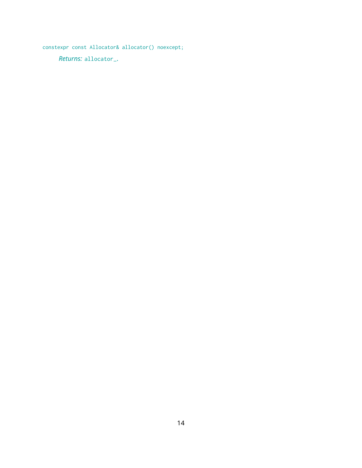constexpr const Allocator& allocator() noexcept;

*Returns:* allocator\_.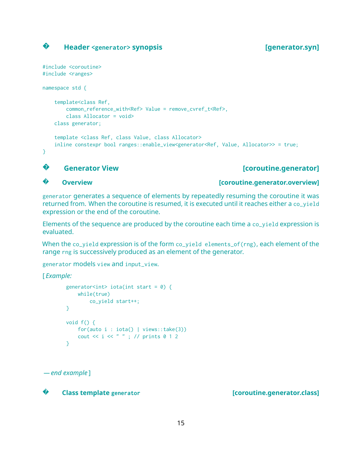#### **?Header <generator> synopsis [generator.syn]**

```
#include <coroutine>
#include <ranges>
namespace std {
    template<class Ref,
       common_reference_with<Ref> Value = remove_cvref_t<Ref>,
       class Allocator = void>
   class generator;
    template <class Ref, class Value, class Allocator>
   inline constexpr bool ranges::enable_view<generator<Ref, Value, Allocator>> = true;
}
```
## **?**

## **Generator View Exercise 2 (Senerator Senerator Exercise 2 (Coroutine.generator]**

### **?**

**Overview [coroutine.generator.overview]**

generator generates a sequence of elements by repeatedly resuming the coroutine it was returned from. When the coroutine is resumed, it is executed until it reaches either a co\_yield expression or the end of the coroutine.

Elements of the sequence are produced by the coroutine each time a co\_yield expression is evaluated.

When the co\_yield expression is of the form co\_yield elements\_of(rng), each element of the range rng is successively produced as an element of the generator.

generator models view and input\_view.

[ *Example:*

```
generator<int> iota(int start = \theta) {
    while(true)
       co_yield start++;
}
void f() {
    for(auto i : iota() | views::take(3))
    cout \ll i \ll " " ; // prints 0 1 2
}
```
*— end example* ]

**?**

**Class template** generator **and intervalse in the contract contract class** [**coroutine.generator.class**]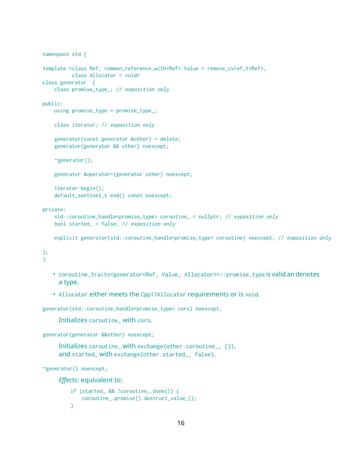```
namespace std {
template <class Ref, common_reference_with<Ref> Value = remove_cvref_t<Ref>,
         class Allocator = void>
class generator {
   class promise_type_; // exposition only
public:
   using promise_type = promise_type_;
    class iterator; // exposition only
    generator(const generator &other) = delete;
    generator(generator && other) noexcept;
    ~generator();
    generator &operator=(generator other) noexcept;
    iterator begin();
    default_sentinel_t end() const noexcept;
private:
   std::coroutine_handle<promise_type> coroutine_ = nullptr; // exposition only
   bool started_ = false; // exposition only
   explicit generator(std::coroutine_handle<promise_type> coroutine) noexcept; // exposition only
};
}
```
- coroutine\_traits<generator<Ref, Value, Allocator>>::promise\_type is valid an denotes a type,
- Allocator either meets the Cpp17Allocator requirements or is void.

generator(std::coroutine\_handle<promise\_type> coro) noexcept;

Initializes coroutine\_ with coro.

```
generator(generator &&other) noexcept;
```
Initializes coroutine\_ with exchange(other.coroutine\_, {}), and started\_ with exchange(other.started\_, false).

```
~generator() noexcept;
```
*Effects:* equivalent to:

```
if (started_ && !coroutine_.done()) {
   coroutine_.promise().destruct_value_();
}
```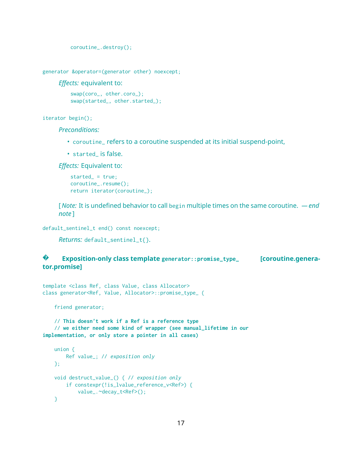```
coroutine_.destroy();
```

```
generator &operator=(generator other) noexcept;
```
*Effects:* equivalent to:

```
swap(coro_, other.coro_);
swap(started_, other.started_);
```
iterator begin();

*Preconditions:*

- coroutine\_ refers to a coroutine suspended at its initial suspend-point,
- started\_ is false.

*Effects:* Equivalent to:

```
started_ = true;
coroutine_.resume();
return iterator(coroutine_);
```
[ *Note:* It is undefined behavior to call begin multiple times on the same coroutine. *— end note* ]

default\_sentinel\_t end() const noexcept;

```
Returns: default_sentinel_t{}.
```
#### **? Exposition-only class template generator::promise\_type\_ [coroutine.generator.promise]**

```
template <class Ref, class Value, class Allocator>
class generator<Ref, Value, Allocator>::promise_type_ {
```
friend generator;

// **This doesn't work if a Ref is a reference type** // **we either need some kind of wrapper (see manual\_lifetime in our implementation, or only store a pointer in all cases)**

```
union {
   Ref value_; // exposition only
};
void destruct_value_() { // exposition only
    if constexpr(!is_lvalue_reference_v<Ref>) {
        value_.~decay_t<Ref>();
}
```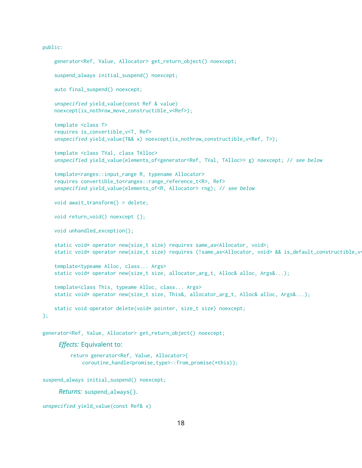#### public:

```
generator<Ref, Value, Allocator> get_return_object() noexcept;
    suspend_always initial_suspend() noexcept;
    auto final_suspend() noexcept;
    unspecified yield_value(const Ref & value)
    noexcept(is_nothrow_move_constructible_v<Ref>);
    template <class T>
    requires is_convertible_v<T, Ref>
    unspecified yield_value(T&& x) noexcept(is_nothrow_constructible_v<Ref, T>);
    template <class TVal, class TAlloc>
    unspecified yield_value(elements_of<generator<Ref, TVal, TAlloc>> g) noexcept; // see below
    template<ranges::input_range R, typename Allocator>
    requires convertible_to<ranges::range_reference_t<R>, Ref>
    unspecified yield_value(elements_of<R, Allocator> rng); // see below
    void await_transform() = delete;
   void return_void() noexcept {};
   void unhandled_exception();
    static void* operator new(size_t size) requires same_as<Allocator, void>;
    static void* operator new(size_t size) requires (!same_as<Allocator, void> && is_default_constructible_void>
    template<typeame Alloc, class... Args>
    static void* operator new(size_t size, allocator_arg_t, Alloc& alloc, Args&...);
    template<class This, typeame Alloc, class... Args>
    static void* operator new(size_t size, This&, allocator_arg_t, Alloc& alloc, Args&...);
    static void operator delete(void* pointer, size_t size) noexcept;
};
generator<Ref, Value, Allocator> get_return_object() noexcept;
     Effects: Equivalent to:
         return generator<Ref, Value, Allocator>{
             coroutine_handle<promise_type>::from_promise(*this)};
suspend_always initial_suspend() noexcept;
     Returns: suspend_always{}.
```

```
unspecified yield_value(const Ref& x)
```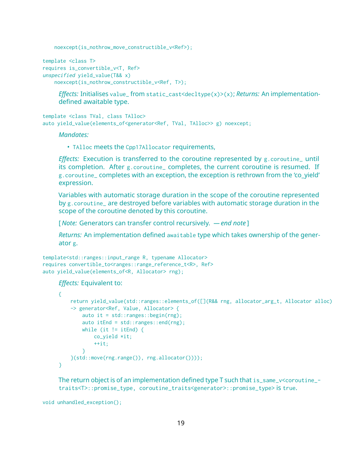noexcept(is\_nothrow\_move\_constructible\_v<Ref>);

```
template <class T>
requires is_convertible_v<T, Ref>
unspecified yield_value(T&& x)
    noexcept(is_nothrow_constructible_v<Ref, T>);
```
*Effects:* Initialises value\_ from static\_cast<decltype(x)>(x); *Returns:* An implementationdefined awaitable type.

template <class TVal, class TAlloc> auto yield\_value(elements\_of<generator<Ref, TVal, TAlloc>> g) noexcept;

#### *Mandates:*

• TAlloc meets the Cpp17Allocator requirements,

*Effects:* Execution is transferred to the coroutine represented by g.coroutine\_ until its completion. After g.coroutine\_ completes, the current coroutine is resumed. If g.coroutine\_ completes with an exception, the exception is rethrown from the 'co\_yield' expression.

Variables with automatic storage duration in the scope of the coroutine represented by g.coroutine\_ are destroyed before variables with automatic storage duration in the scope of the coroutine denoted by this coroutine.

[ *Note:* Generators can transfer control recursively. *— end note* ]

*Returns:* An implementation defined awaitable type which takes ownership of the generator g.

```
template<std::ranges::input_range R, typename Allocator>
requires convertible_to<ranges::range_reference_t<R>, Ref>
auto yield_value(elements_of<R, Allocator> rng);
```
*Effects:* Equivalent to:

```
{
    return yield_value(std::ranges::elements_of([](R&& rng, allocator_arg_t, Allocator alloc)
    -> generator<Ref, Value, Allocator> {
       auto it = std::ranges::begin(rng);
       auto itEnd = std::ranges::end(rng);
       while (it != itEnd) {
           co_yield *it;
           +it;
        }
    }(std::move(rng.range()), rng.allocator())));
}
```
The return object is of an implementation defined type T such that is\_same\_v<coroutine\_ traits<T>::promise\_type, coroutine\_traits<generator>::promise\_type> is true.

void unhandled\_exception();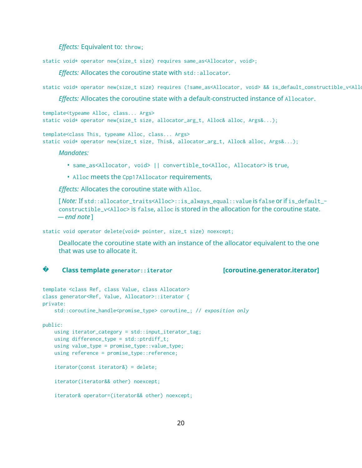*Effects:* Equivalent to: throw;

static void\* operator new(size\_t size) requires same\_as<Allocator, void>;

*Effects:* Allocates the coroutine state with std::allocator.

static void\* operator new(size\_t size) requires (!same\_as<Allocator, void> && is\_default\_constructible\_v<Allocator>);

*Effects:* Allocates the coroutine state with a default-constructed instance of Allocator.

```
template<typeame Alloc, class... Args>
static void* operator new(size_t size, allocator_arg_t, Alloc& alloc, Args&...);
```
template<class This, typeame Alloc, class... Args> static void\* operator new(size\_t size, This&, allocator\_arg\_t, Alloc& alloc, Args&...);

*Mandates:*

- same\_as<Allocator, void> || convertible\_to<Alloc, Allocator> is true,
- Alloc meets the Cpp17Allocator requirements,

*Effects:* Allocates the coroutine state with Alloc.

[ *Note:* If std::allocator\_traits<Alloc>::is\_always\_equal::value is false or if is\_default\_ constructible\_v<Alloc> is false, alloc is stored in the allocation for the coroutine state. *— end note* ]

static void operator delete(void\* pointer, size\_t size) noexcept;

Deallocate the coroutine state with an instance of the allocator equivalent to the one that was use to allocate it.

**?**

```
Class template generator::iterator [coroutine.generator.iterator]
```

```
template <class Ref, class Value, class Allocator>
class generator<Ref, Value, Allocator>::iterator {
private:
    std::coroutine_handle<promise_type> coroutine_; // exposition only
public:
   using iterator_category = std::input\_iterator\_tag;using difference_type = std::ptrdiff_t;
   using value_type = promise_type::value_type;
   using reference = promise_type::reference;
    iterator(const iterator&) = delete;
    iterator(iterator&& other) noexcept;
    iterator& operator=(iterator&& other) noexcept;
```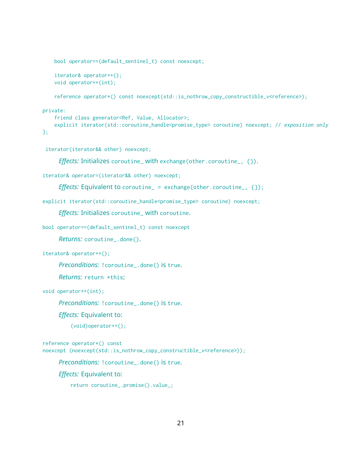```
bool operator==(default_sentinel_t) const noexcept;
iterator& operator++();
void operator++(int);
reference operator*() const noexcept(std::is_nothrow_copy_constructible_v<reference>);
```
#### private:

```
friend class generator<Ref, Value, Allocator>;
    explicit iterator(std::coroutine_handle<promise_type> coroutine) noexcept; // exposition only
};
```
iterator(iterator&& other) noexcept;

*Effects:* Initializes coroutine\_ with exchange(other.coroutine\_, {}).

iterator& operator=(iterator&& other) noexcept;

```
Effects: Equivalent to coroutine_ = exchange(other.coroutine_, {});
```
explicit iterator(std::coroutine\_handle<promise\_type> coroutine) noexcept;

*Effects:* Initializes coroutine\_ with coroutine.

```
bool operator==(default_sentinel_t) const noexcept
```
*Returns:* coroutine\_.done().

iterator& operator++();

*Preconditions:* !coroutine\_.done() is true.

*Returns:* return \*this;

void operator++(int);

*Preconditions:* !coroutine\_.done() is true.

*Effects:* Equivalent to:

(void)operator++();

reference operator\*() const noexcept (noexcept(std::is\_nothrow\_copy\_constructible\_v<reference>));

*Preconditions:* !coroutine\_.done() is true.

*Effects:* Equivalent to:

return coroutine\_.promise().value\_;